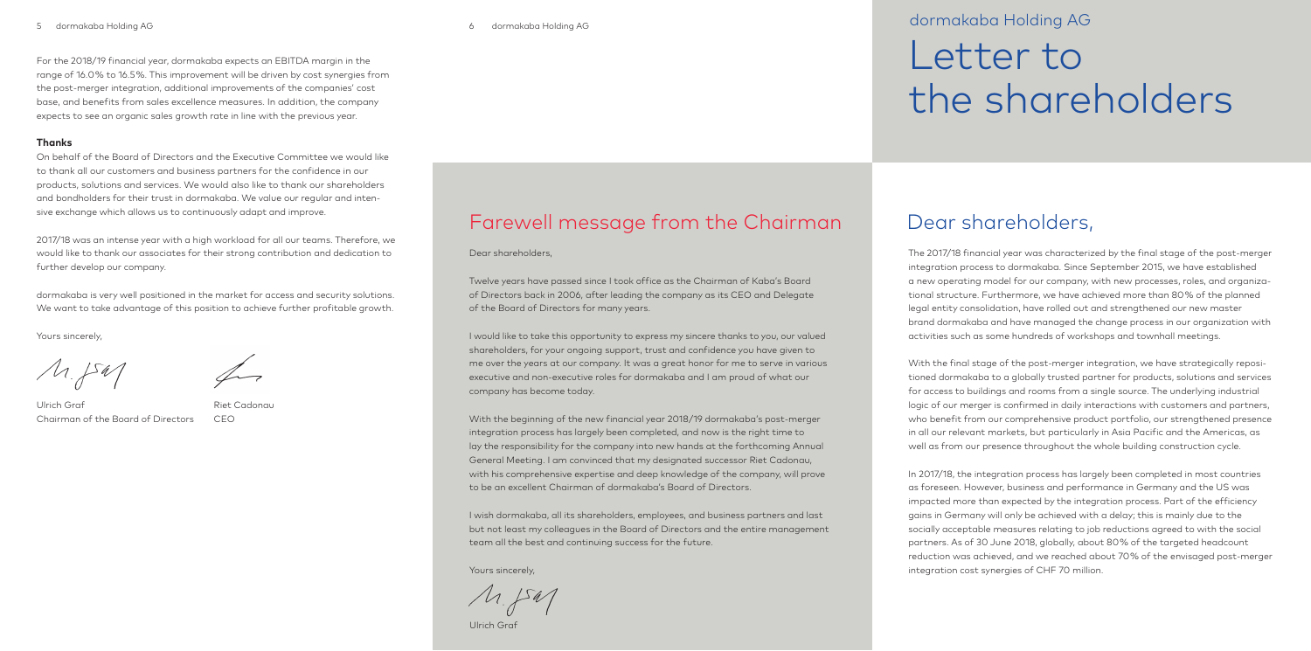## 5 dormakaba Holding AG 6 dormakaba Holding AG 3

# Letter to the shareholders

# Dear shareholders,

The 2017/18 financial year was characterized by the final stage of the post-merger integration process to dormakaba. Since September 2015, we have established a new operating model for our company, with new processes, roles, and organizational structure. Furthermore, we have achieved more than 80 % of the planned legal entity consolidation, have rolled out and strengthened our new master brand dormakaba and have managed the change process in our organization with activities such as some hundreds of workshops and townhall meetings.

With the final stage of the post-merger integration, we have strategically repositioned dormakaba to a globally trusted partner for products, solutions and services for access to buildings and rooms from a single source. The underlying industrial logic of our merger is confirmed in daily interactions with customers and partners, who benefit from our comprehensive product portfolio, our strengthened presence in all our relevant markets, but particularly in Asia Pacific and the Americas, as well as from our presence throughout the whole building construction cycle.

In 2017/18, the integration process has largely been completed in most countries as foreseen. However, business and performance in Germany and the US was impacted more than expected by the integration process. Part of the efficiency gains in Germany will only be achieved with a delay; this is mainly due to the socially acceptable measures relating to job reductions agreed to with the social partners. As of 30 June 2018, globally, about 80 % of the targeted headcount reduction was achieved, and we reached about 70 % of the envisaged post-merger integration cost synergies of CHF 70 million.

# Farewell message from the Chairman

Dear shareholders,

Twelve years have passed since I took office as the Chairman of Kaba's Board of Directors back in 2006, after leading the company as its CEO and Delegate of the Board of Directors for many years.

I would like to take this opportunity to express my sincere thanks to you, our valued shareholders, for your ongoing support, trust and confidence you have given to me over the years at our company. It was a great honor for me to serve in various executive and non-executive roles for dormakaba and I am proud of what our company has become today.

With the beginning of the new financial year 2018/19 dormakaba's post-merger integration process has largely been completed, and now is the right time to lay the responsibility for the company into new hands at the forthcoming Annual General Meeting. I am convinced that my designated successor Riet Cadonau, with his comprehensive expertise and deep knowledge of the company, will prove to be an excellent Chairman of dormakaba's Board of Directors.

I wish dormakaba, all its shareholders, employees, and business partners and last but not least my colleagues in the Board of Directors and the entire management team all the best and continuing success for the future.

Yours sincerely,

 $A.541$ 

Ulrich Graf

# dormakaba Holding AG

For the 2018/19 financial year, dormakaba expects an EBITDA margin in the range of 16.0 % to 16.5 %. This improvement will be driven by cost synergies from the post-merger integration, additional improvements of the companies' cost base, and benefits from sales excellence measures. In addition, the company expects to see an organic sales growth rate in line with the previous year.

# **Thanks**

On behalf of the Board of Directors and the Executive Committee we would like to thank all our customers and business partners for the confidence in our products, solutions and services. We would also like to thank our shareholders and bondholders for their trust in dormakaba. We value our regular and intensive exchange which allows us to continuously adapt and improve.

2017/18 was an intense year with a high workload for all our teams. Therefore, we would like to thank our associates for their strong contribution and dedication to further develop our company.

dormakaba is very well positioned in the market for access and security solutions. We want to take advantage of this position to achieve further profitable growth.

Yours sincerely,

 $\mu_{\textrm{A}}$ 

Ulrich Graf Chairman of the Board of Directors

Riet Cadonau

CEO